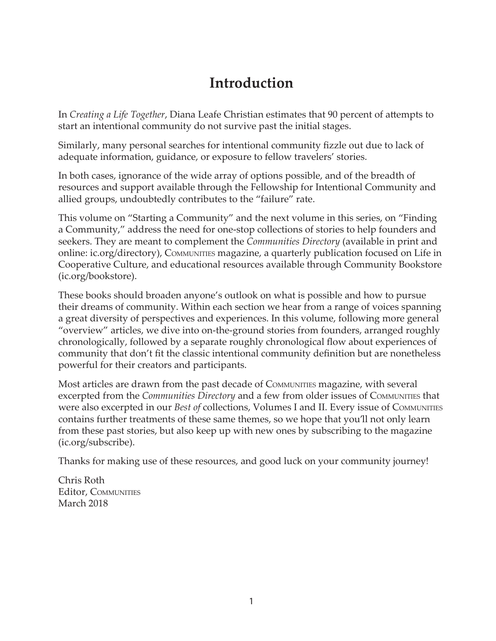## **Introduction**

In *Creating a Life Together*, Diana Leafe Christian estimates that 90 percent of attempts to start an intentional community do not survive past the initial stages.

Similarly, many personal searches for intentional community fizzle out due to lack of adequate information, guidance, or exposure to fellow travelers' stories.

In both cases, ignorance of the wide array of options possible, and of the breadth of resources and support available through the Fellowship for Intentional Community and allied groups, undoubtedly contributes to the "failure" rate.

This volume on "Starting a Community" and the next volume in this series, on "Finding a Community," address the need for one-stop collections of stories to help founders and seekers. They are meant to complement the *Communities Directory* (available in print and online: ic.org/directory), COMMUNITIES magazine, a quarterly publication focused on Life in Cooperative Culture, and educational resources available through Community Bookstore (ic.org/bookstore).

These books should broaden anyone's outlook on what is possible and how to pursue their dreams of community. Within each section we hear from a range of voices spanning a great diversity of perspectives and experiences. In this volume, following more general "overview" articles, we dive into on-the-ground stories from founders, arranged roughly chronologically, followed by a separate roughly chronological flow about experiences of community that don't fit the classic intentional community definition but are nonetheless powerful for their creators and participants.

Most articles are drawn from the past decade of COMMUNITIES magazine, with several excerpted from the *Communities Directory* and a few from older issues of COMMUNITIES that were also excerpted in our *Best of* collections, Volumes I and II. Every issue of COMMUNITIES contains further treatments of these same themes, so we hope that you'll not only learn from these past stories, but also keep up with new ones by subscribing to the magazine (ic.org/subscribe).

Thanks for making use of these resources, and good luck on your community journey!

Chris Roth Editor, COMMUNITIES March 2018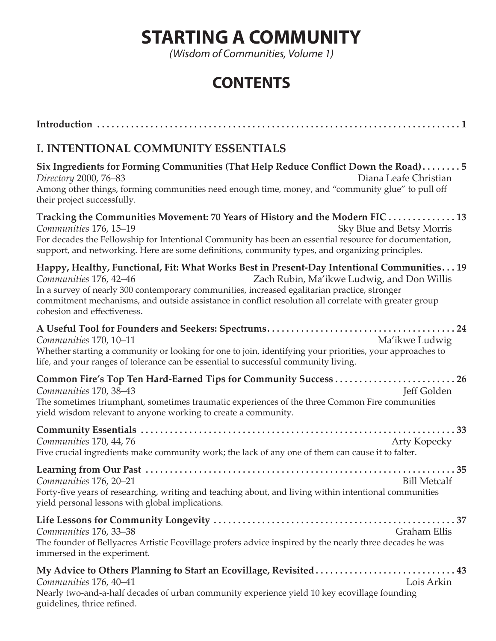## **STARTING A COMMUNITY**

*(Wisdom of Communities, Volume 1)*

## **CONTENTS**

| I. INTENTIONAL COMMUNITY ESSENTIALS                                                                                                                                                                                                                                                                                                                                                                                          |
|------------------------------------------------------------------------------------------------------------------------------------------------------------------------------------------------------------------------------------------------------------------------------------------------------------------------------------------------------------------------------------------------------------------------------|
| Six Ingredients for Forming Communities (That Help Reduce Conflict Down the Road)5<br>Diana Leafe Christian<br>Directory 2000, 76-83<br>Among other things, forming communities need enough time, money, and "community glue" to pull off<br>their project successfully.                                                                                                                                                     |
| Tracking the Communities Movement: 70 Years of History and the Modern FIC  13<br>Communities 176, 15-19<br>Sky Blue and Betsy Morris<br>For decades the Fellowship for Intentional Community has been an essential resource for documentation,<br>support, and networking. Here are some definitions, community types, and organizing principles.                                                                            |
| Happy, Healthy, Functional, Fit: What Works Best in Present-Day Intentional Communities 19<br>Communities 176, 42-46<br>Zach Rubin, Ma'ikwe Ludwig, and Don Willis<br>In a survey of nearly 300 contemporary communities, increased egalitarian practice, stronger<br>commitment mechanisms, and outside assistance in conflict resolution all correlate with greater group<br>cohesion and effectiveness.                   |
| Communities 170, 10-11<br>Ma'ikwe Ludwig<br>Whether starting a community or looking for one to join, identifying your priorities, your approaches to<br>life, and your ranges of tolerance can be essential to successful community living.                                                                                                                                                                                  |
| <b>Jeff Golden</b><br>Communities 170, 38-43<br>The sometimes triumphant, sometimes traumatic experiences of the three Common Fire communities<br>yield wisdom relevant to anyone working to create a community.                                                                                                                                                                                                             |
| Communities 170, 44, 76<br><b>Arty Kopecky</b><br>Five crucial ingredients make community work; the lack of any one of them can cause it to falter.                                                                                                                                                                                                                                                                          |
| Communities 176, 20–21<br><b>Example 18 State State State State State State State State State State State State State State State State State State State State State State State State State State State State State State State State State State State </b><br>Forty-five years of researching, writing and teaching about, and living within intentional communities<br>yield personal lessons with global implications. |
| <b>Graham Ellis</b><br>Communities 176, 33–38<br>The founder of Bellyacres Artistic Ecovillage profers advice inspired by the nearly three decades he was<br>immersed in the experiment.                                                                                                                                                                                                                                     |
| My Advice to Others Planning to Start an Ecovillage, Revisited 43<br>Lois Arkin<br>Communities 176, 40–41<br>Nearly two-and-a-half decades of urban community experience yield 10 key ecovillage founding<br>guidelines, thrice refined.                                                                                                                                                                                     |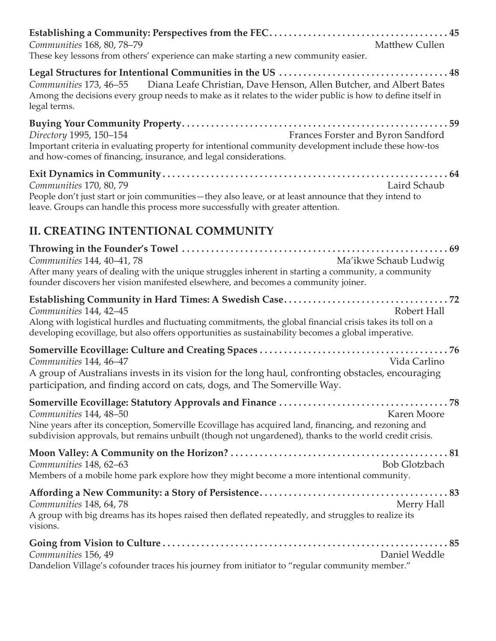| Communities 168, 80, 78-79<br>These key lessons from others' experience can make starting a new community easier.                                                                                                                           | Matthew Cullen                     |
|---------------------------------------------------------------------------------------------------------------------------------------------------------------------------------------------------------------------------------------------|------------------------------------|
| Communities 173, 46–55 Diana Leafe Christian, Dave Henson, Allen Butcher, and Albert Bates<br>Among the decisions every group needs to make as it relates to the wider public is how to define itself in<br>legal terms.                    |                                    |
| Directory 1995, 150-154<br>Important criteria in evaluating property for intentional community development include these how-tos<br>and how-comes of financing, insurance, and legal considerations.                                        | Frances Forster and Byron Sandford |
| Communities 170, 80, 79<br>People don't just start or join communities—they also leave, or at least announce that they intend to<br>leave. Groups can handle this process more successfully with greater attention.                         | Laird Schaub                       |
| <b>II. CREATING INTENTIONAL COMMUNITY</b>                                                                                                                                                                                                   |                                    |
| Communities 144, 40-41, 78<br>After many years of dealing with the unique struggles inherent in starting a community, a community<br>founder discovers her vision manifested elsewhere, and becomes a community joiner.                     | Ma'ikwe Schaub Ludwig              |
| Communities 144, 42-45<br>Along with logistical hurdles and fluctuating commitments, the global financial crisis takes its toll on a<br>developing ecovillage, but also offers opportunities as sustainability becomes a global imperative. | Robert Hall                        |
| Communities 144, 46-47<br>A group of Australians invests in its vision for the long haul, confronting obstacles, encouraging<br>participation, and finding accord on cats, dogs, and The Somerville Way.                                    | Vida Carlino                       |
| Communities 144, 48-50<br>Nine years after its conception, Somerville Ecovillage has acquired land, financing, and rezoning and<br>subdivision approvals, but remains unbuilt (though not ungardened), thanks to the world credit crisis.   | <b>Karen Moore</b>                 |
| Communities 148, 62-63<br>Members of a mobile home park explore how they might become a more intentional community.                                                                                                                         | <b>Bob Glotzbach</b>               |
| Communities 148, 64, 78<br>A group with big dreams has its hopes raised then deflated repeatedly, and struggles to realize its<br>visions.                                                                                                  | Merry Hall                         |
| Communities 156, 49<br>Dandelion Village's cofounder traces his journey from initiator to "regular community member."                                                                                                                       | Daniel Weddle                      |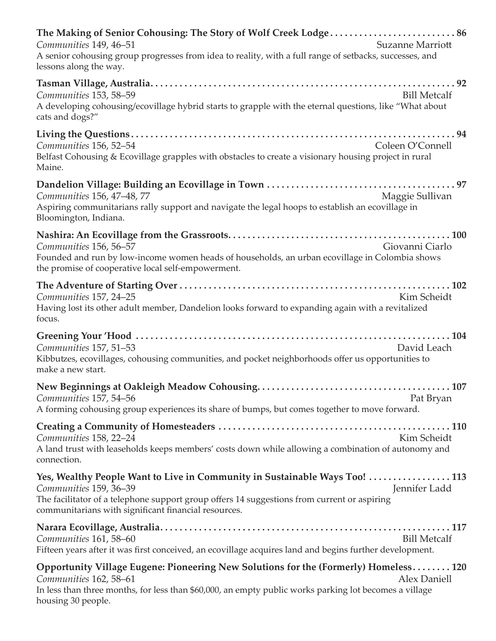| The Making of Senior Cohousing: The Story of Wolf Creek Lodge 86<br>Communities 149, 46-51<br><b>Suzanne Marriott</b><br>A senior cohousing group progresses from idea to reality, with a full range of setbacks, successes, and<br>lessons along the way.                   |
|------------------------------------------------------------------------------------------------------------------------------------------------------------------------------------------------------------------------------------------------------------------------------|
| Communities 153, 58-59<br><b>Bill Metcalf</b><br>A developing cohousing/ecovillage hybrid starts to grapple with the eternal questions, like "What about<br>cats and dogs?"                                                                                                  |
| Communities 156, 52-54<br>Coleen O'Connell<br>Belfast Cohousing & Ecovillage grapples with obstacles to create a visionary housing project in rural<br>Maine.                                                                                                                |
| Communities 156, 47-48, 77<br>Maggie Sullivan<br>Aspiring communitarians rally support and navigate the legal hoops to establish an ecovillage in<br>Bloomington, Indiana.                                                                                                   |
| Communities 156, 56-57<br>Giovanni Ciarlo<br>Founded and run by low-income women heads of households, an urban ecovillage in Colombia shows<br>the promise of cooperative local self-empowerment.                                                                            |
| Communities 157, 24-25<br>Kim Scheidt<br>Having lost its other adult member, Dandelion looks forward to expanding again with a revitalized<br>focus.                                                                                                                         |
| Communities 157, 51-53<br>David Leach<br>Kibbutzes, ecovillages, cohousing communities, and pocket neighborhoods offer us opportunities to<br>make a new start.                                                                                                              |
| Communities 157, 54–56<br>Pat Bryan<br>A forming cohousing group experiences its share of bumps, but comes together to move forward.                                                                                                                                         |
| Communities 158, 22-24<br>Kim Scheidt<br>A land trust with leaseholds keeps members' costs down while allowing a combination of autonomy and<br>connection.                                                                                                                  |
| Yes, Wealthy People Want to Live in Community in Sustainable Ways Too! 113<br>Jennifer Ladd<br>Communities 159, 36-39<br>The facilitator of a telephone support group offers 14 suggestions from current or aspiring<br>communitarians with significant financial resources. |
| Communities 161, 58-60<br><b>Bill Metcalf</b><br>Fifteen years after it was first conceived, an ecovillage acquires land and begins further development.                                                                                                                     |
| Opportunity Village Eugene: Pioneering New Solutions for the (Formerly) Homeless 120<br>Communities 162, 58-61<br>Alex Daniell<br>In less than three months, for less than \$60,000, an empty public works parking lot becomes a village<br>housing 30 people.               |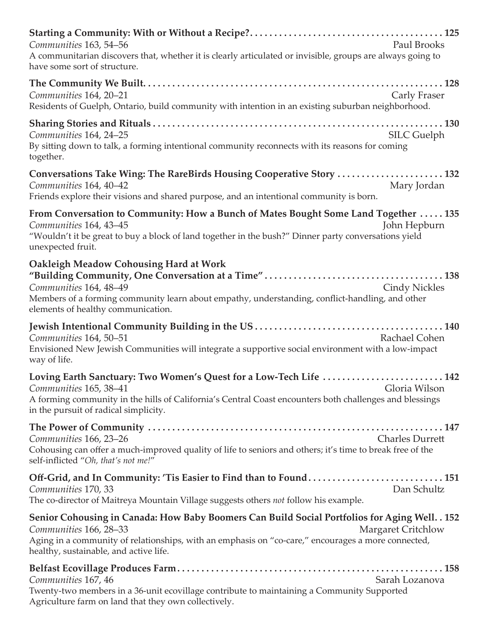| Communities 163, 54-56<br>Paul Brooks<br>A communitarian discovers that, whether it is clearly articulated or invisible, groups are always going to<br>have some sort of structure.                                                                                                                   |
|-------------------------------------------------------------------------------------------------------------------------------------------------------------------------------------------------------------------------------------------------------------------------------------------------------|
| Communities 164, 20-21<br><b>Carly Fraser</b><br>Residents of Guelph, Ontario, build community with intention in an existing suburban neighborhood.                                                                                                                                                   |
| <b>SILC Guelph</b><br>Communities 164, 24-25<br>By sitting down to talk, a forming intentional community reconnects with its reasons for coming<br>together.                                                                                                                                          |
| Conversations Take Wing: The RareBirds Housing Cooperative Story  132<br>Communities 164, 40-42<br>Mary Jordan<br>Friends explore their visions and shared purpose, and an intentional community is born.                                                                                             |
| From Conversation to Community: How a Bunch of Mates Bought Some Land Together  135<br>Communities 164, 43-45<br>John Hepburn<br>"Wouldn't it be great to buy a block of land together in the bush?" Dinner party conversations yield<br>unexpected fruit.                                            |
| <b>Oakleigh Meadow Cohousing Hard at Work</b><br>Communities 164, 48-49<br><b>Cindy Nickles</b><br>Members of a forming community learn about empathy, understanding, conflict-handling, and other<br>elements of healthy communication.                                                              |
| Rachael Cohen<br>Communities 164, 50-51<br>Envisioned New Jewish Communities will integrate a supportive social environment with a low-impact<br>way of life.                                                                                                                                         |
| Loving Earth Sanctuary: Two Women's Quest for a Low-Tech Life  142<br>Communities 165, 38-41<br>Gloria Wilson<br>A forming community in the hills of California's Central Coast encounters both challenges and blessings<br>in the pursuit of radical simplicity.                                     |
| Communities 166, 23-26<br><b>Charles Durrett</b><br>Cohousing can offer a much-improved quality of life to seniors and others; it's time to break free of the<br>self-inflicted "Oh, that's not me!"                                                                                                  |
| Off-Grid, and In Community: 'Tis Easier to Find than to Found 151<br>Dan Schultz<br>Communities 170, 33<br>The co-director of Maitreya Mountain Village suggests others not follow his example.                                                                                                       |
| Senior Cohousing in Canada: How Baby Boomers Can Build Social Portfolios for Aging Well. . 152<br><b>Margaret Critchlow</b><br>Communities 166, 28–33<br>Aging in a community of relationships, with an emphasis on "co-care," encourages a more connected,<br>healthy, sustainable, and active life. |
| Communities 167, 46<br>Sarah Lozanova<br>Twenty-two members in a 36-unit ecovillage contribute to maintaining a Community Supported<br>Agriculture farm on land that they own collectively.                                                                                                           |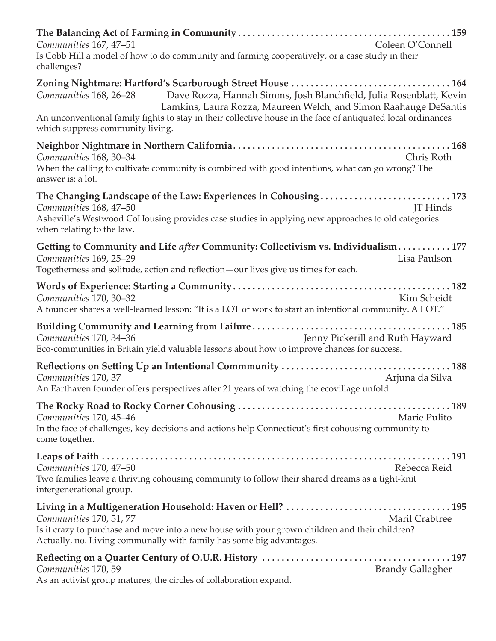| Communities 167, 47-51<br>Coleen O'Connell<br>Is Cobb Hill a model of how to do community and farming cooperatively, or a case study in their<br>challenges?                                                                                                                      |
|-----------------------------------------------------------------------------------------------------------------------------------------------------------------------------------------------------------------------------------------------------------------------------------|
| Dave Rozza, Hannah Simms, Josh Blanchfield, Julia Rosenblatt, Kevin<br>Communities 168, 26–28<br>Lamkins, Laura Rozza, Maureen Welch, and Simon Raahauge DeSantis<br>An unconventional family fights to stay in their collective house in the face of antiquated local ordinances |
| which suppress community living.                                                                                                                                                                                                                                                  |
| Communities 168, 30-34<br>Chris Roth<br>When the calling to cultivate community is combined with good intentions, what can go wrong? The<br>answer is: a lot.                                                                                                                     |
| The Changing Landscape of the Law: Experiences in Cohousing173<br>Communities 168, 47-50<br><b>IT</b> Hinds<br>Asheville's Westwood CoHousing provides case studies in applying new approaches to old categories<br>when relating to the law.                                     |
| Getting to Community and Life after Community: Collectivism vs. Individualism 177<br>Communities 169, 25-29<br>Lisa Paulson<br>Togetherness and solitude, action and reflection-our lives give us times for each.                                                                 |
| Kim Scheidt<br>Communities 170, 30-32<br>A founder shares a well-learned lesson: "It is a LOT of work to start an intentional community. A LOT."                                                                                                                                  |
| Jenny Pickerill and Ruth Hayward<br>Communities 170, 34-36<br>Eco-communities in Britain yield valuable lessons about how to improve chances for success.                                                                                                                         |
| Communities 170, 37<br>Arjuna da Silva<br>An Earthaven founder offers perspectives after 21 years of watching the ecovillage unfold.                                                                                                                                              |
| Communities 170, 45-46<br>Marie Pulito<br>In the face of challenges, key decisions and actions help Connecticut's first cohousing community to<br>come together.                                                                                                                  |
| Communities 170, 47–50<br>Rebecca Reid<br>Two families leave a thriving cohousing community to follow their shared dreams as a tight-knit<br>intergenerational group.                                                                                                             |
| Maril Crabtree<br>Communities 170, 51, 77<br>Is it crazy to purchase and move into a new house with your grown children and their children?<br>Actually, no. Living communally with family has some big advantages.                                                               |
| Communities 170, 59<br><b>Brandy Gallagher</b><br>As an activist group matures, the circles of collaboration expand.                                                                                                                                                              |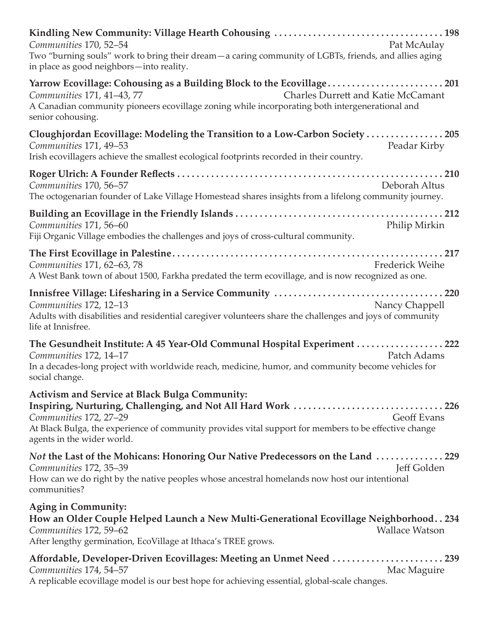| Pat McAulay<br>Communities 170, 52-54<br>Two "burning souls" work to bring their dream - a caring community of LGBTs, friends, and allies aging<br>in place as good neighbors-into reality.                                                                                                                  |
|--------------------------------------------------------------------------------------------------------------------------------------------------------------------------------------------------------------------------------------------------------------------------------------------------------------|
| Yarrow Ecovillage: Cohousing as a Building Block to the Ecovillage201<br>Charles Durrett and Katie McCamant<br>Communities 171, 41-43, 77<br>A Canadian community pioneers ecovillage zoning while incorporating both intergenerational and<br>senior cohousing.                                             |
| Cloughjordan Ecovillage: Modeling the Transition to a Low-Carbon Society  205<br>Communities 171, 49-53<br>Peadar Kirby<br>Irish ecovillagers achieve the smallest ecological footprints recorded in their country.                                                                                          |
| Communities 170, 56-57<br>Deborah Altus<br>The octogenarian founder of Lake Village Homestead shares insights from a lifelong community journey.                                                                                                                                                             |
| Communities 171, 56-60<br>Philip Mirkin<br>Fiji Organic Village embodies the challenges and joys of cross-cultural community.                                                                                                                                                                                |
| Communities 171, 62–63, 78<br><b>Frederick Weihe</b><br>A West Bank town of about 1500, Farkha predated the term ecovillage, and is now recognized as one.                                                                                                                                                   |
| Nancy Chappell<br>Communities 172, 12-13<br>Adults with disabilities and residential caregiver volunteers share the challenges and joys of community<br>life at Innisfree.                                                                                                                                   |
| The Gesundheit Institute: A 45 Year-Old Communal Hospital Experiment  222<br>Communities 172, 14-17<br>Patch Adams<br>In a decades-long project with worldwide reach, medicine, humor, and community become vehicles for<br>social change.                                                                   |
| <b>Activism and Service at Black Bulga Community:</b><br>Inspiring, Nurturing, Challenging, and Not All Hard Work 226<br>Communities 172, 27-29<br><b>Geoff Evans</b><br>At Black Bulga, the experience of community provides vital support for members to be effective change<br>agents in the wider world. |
| Not the Last of the Mohicans: Honoring Our Native Predecessors on the Land 229<br>Jeff Golden<br>Communities 172, 35–39<br>How can we do right by the native peoples whose ancestral homelands now host our intentional<br>communities?                                                                      |
| Aging in Community:<br>How an Older Couple Helped Launch a New Multi-Generational Ecovillage Neighborhood. . 234<br>Communities 172, 59-62<br><b>Wallace Watson</b><br>After lengthy germination, EcoVillage at Ithaca's TREE grows.                                                                         |
| Affordable, Developer-Driven Ecovillages: Meeting an Unmet Need 239<br>Communities 174, 54-57<br>Mac Maguire<br>A replicable ecovillage model is our best hope for achieving essential, global-scale changes.                                                                                                |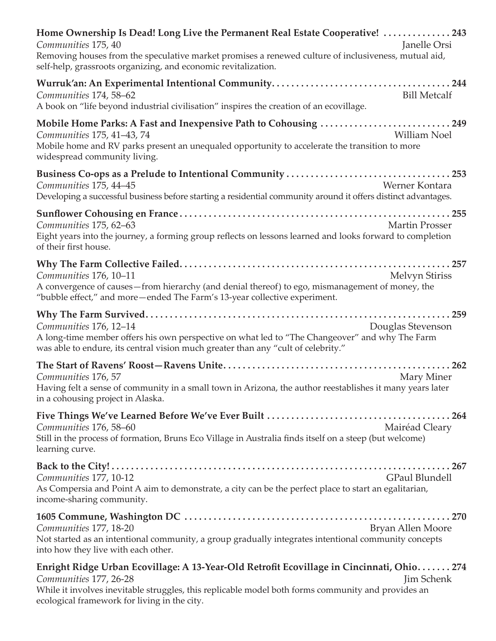| Home Ownership Is Dead! Long Live the Permanent Real Estate Cooperative! 243<br>Communities 175, 40<br>Janelle Orsi<br>Removing houses from the speculative market promises a renewed culture of inclusiveness, mutual aid,<br>self-help, grassroots organizing, and economic revitalization. |
|-----------------------------------------------------------------------------------------------------------------------------------------------------------------------------------------------------------------------------------------------------------------------------------------------|
| <b>Bill Metcalf</b><br>Communities 174, 58-62<br>A book on "life beyond industrial civilisation" inspires the creation of an ecovillage.                                                                                                                                                      |
| Mobile Home Parks: A Fast and Inexpensive Path to Cohousing 249<br><b>William Noel</b><br>Communities 175, 41-43, 74<br>Mobile home and RV parks present an unequaled opportunity to accelerate the transition to more<br>widespread community living.                                        |
| Communities 175, 44-45<br>Werner Kontara<br>Developing a successful business before starting a residential community around it offers distinct advantages.                                                                                                                                    |
| Communities 175, 62-63<br><b>Martin Prosser</b><br>Eight years into the journey, a forming group reflects on lessons learned and looks forward to completion<br>of their first house.                                                                                                         |
| Communities 176, 10-11<br><b>Melvyn Stiriss</b><br>A convergence of causes-from hierarchy (and denial thereof) to ego, mismanagement of money, the<br>"bubble effect," and more-ended The Farm's 13-year collective experiment.                                                               |
| Communities 176, 12-14<br>Douglas Stevenson<br>A long-time member offers his own perspective on what led to "The Changeover" and why The Farm<br>was able to endure, its central vision much greater than any "cult of celebrity."                                                            |
| Communities 176, 57<br>Mary Miner<br>Having felt a sense of community in a small town in Arizona, the author reestablishes it many years later<br>in a cohousing project in Alaska.                                                                                                           |
| Communities 176, 58-60<br>Mairéad Cleary<br>Still in the process of formation, Bruns Eco Village in Australia finds itself on a steep (but welcome)<br>learning curve.                                                                                                                        |
| <b>GPaul Blundell</b><br>Communities 177, 10-12<br>As Compersia and Point A aim to demonstrate, a city can be the perfect place to start an egalitarian,<br>income-sharing community.                                                                                                         |
| Communities 177, 18-20<br>Bryan Allen Moore<br>Not started as an intentional community, a group gradually integrates intentional community concepts<br>into how they live with each other.                                                                                                    |
| Enright Ridge Urban Ecovillage: A 13-Year-Old Retrofit Ecovillage in Cincinnati, Ohio 274<br>Communities 177, 26-28<br>Jim Schenk<br>While it involves inevitable struggles, this replicable model both forms community and provides an<br>ecological framework for living in the city.       |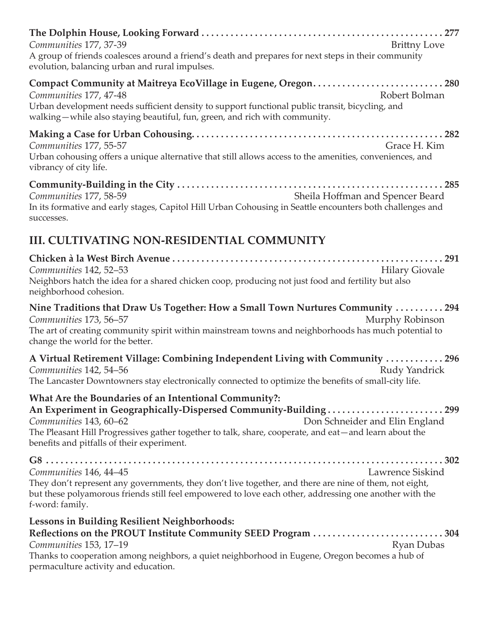| <b>Brittny Love</b><br>Communities 177, 37-39<br>A group of friends coalesces around a friend's death and prepares for next steps in their community<br>evolution, balancing urban and rural impulses.                                                                                                                                      |
|---------------------------------------------------------------------------------------------------------------------------------------------------------------------------------------------------------------------------------------------------------------------------------------------------------------------------------------------|
| Compact Community at Maitreya EcoVillage in Eugene, Oregon280<br>Robert Bolman<br>Communities 177, 47-48<br>Urban development needs sufficient density to support functional public transit, bicycling, and<br>walking-while also staying beautiful, fun, green, and rich with community.                                                   |
| Communities 177, 55-57<br>Grace H. Kim<br>Urban cohousing offers a unique alternative that still allows access to the amenities, conveniences, and<br>vibrancy of city life.                                                                                                                                                                |
| Communities 177, 58-59<br>Sheila Hoffman and Spencer Beard<br>In its formative and early stages, Capitol Hill Urban Cohousing in Seattle encounters both challenges and<br>successes.                                                                                                                                                       |
| <b>III. CULTIVATING NON-RESIDENTIAL COMMUNITY</b>                                                                                                                                                                                                                                                                                           |
| Communities 142, 52-53<br><b>Hilary Giovale</b><br>Neighbors hatch the idea for a shared chicken coop, producing not just food and fertility but also<br>neighborhood cohesion.                                                                                                                                                             |
| Nine Traditions that Draw Us Together: How a Small Town Nurtures Community  294<br>Communities 173, 56-57<br>Murphy Robinson<br>The art of creating community spirit within mainstream towns and neighborhoods has much potential to<br>change the world for the better.                                                                    |
| A Virtual Retirement Village: Combining Independent Living with Community  296<br>Communities 142, 54-56<br>Rudy Yandrick<br>The Lancaster Downtowners stay electronically connected to optimize the benefits of small-city life.                                                                                                           |
| What Are the Boundaries of an Intentional Community?:<br>An Experiment in Geographically-Dispersed Community-Building299<br>Communities 143, 60–62<br>Don Schneider and Elin England<br>The Pleasant Hill Progressives gather together to talk, share, cooperate, and eat-and learn about the<br>benefits and pitfalls of their experiment. |
| Lawrence Siskind<br>Communities 146, 44-45<br>They don't represent any governments, they don't live together, and there are nine of them, not eight,<br>but these polyamorous friends still feel empowered to love each other, addressing one another with the<br>f-word: family.                                                           |
| <b>Lessons in Building Resilient Neighborhoods:</b><br>Reflections on the PROUT Institute Community SEED Program 304<br><b>Ryan Dubas</b><br>Communities 153, 17–19<br>Thanks to cooperation among neighbors, a quiet neighborhood in Eugene, Oregon becomes a hub of<br>permaculture activity and education.                               |